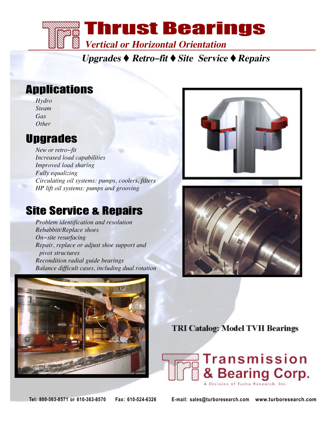

**Upgrades Retro-fit Site Service Repairs**

# Applications

*Hydro Steam Gas Other*

## **Upgrades**

*New or retro-fit Increased load capabilities Improved load sharing Fully equalizing Circulating oil systems: pumps, coolers, filters HP lift oil systems: pumps and grooving*

## Site Service & Repairs

*Problem identification and resolution Rebabbitt/Replace shoes On-site resurfacing Repair, replace or adjust shoe support and pivot structures Recondition radial guide bearings Balance difficult cases, including dual rotation*







**TRI Catalog: Model TVH Bearings** 



**Tel: 800-363-8571 or 610-363-8570 Fax: 610-524-6326 E-mail: sales@turboresearch.com www.turboresearch.com**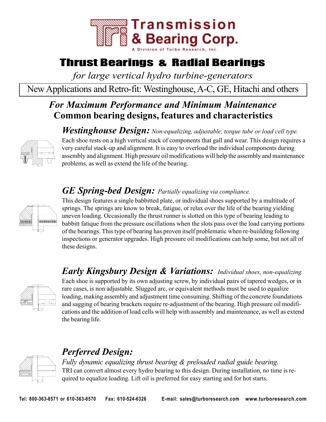

## Thrust Bearings & Radial Bearings

*for large vertical hydro turbine-generators*

New Applications and Retro-fit: Westinghouse, A-C, GE, Hitachi and others

### **Common bearing designs, features and characteristics** *For Maximum Performance and Minimum Maintenance*

*Westinghouse Design: Non-equalizing, adjustable, torque tube or load cell type.*



Each shoe rests on a high vertical stack of components that gall and wear. This design requires a very careful stack-up and alignment. It is easy to overload the individual components during assembly and alignment. High pressure oil modifications will help the assembly and maintenance problems, as well as extend the life of the bearing.

### *GE Spring-bed Design: Partially equalizing via compliance.*



This design features a single babbitted plate, or individual shoes supported by a multitude of springs. The springs are know to break, fatigue, or relax over the life of the bearing yielding uneven loading. Occasionally the thrust runner is slotted on this type of bearing leading to babbitt fatique from the pressure oscillations when the slots pass over the load carrying portions of the bearings. This type of bearing has proven itself problematic when re-buiilding following inspections or generator upgrades. High pressure oil modifications can help some, but not all of these designs.

### *Early Kingsbury Design & Variations: Individual shoes, non-equalizing.*



Each shoe is supported by its own adjusting screw, by individual pairs of tapered wedges, or in rare cases, is non adjustable. Slugged arc, or equivalent methods must be used to equalize loading, making assembly and adjustment time consuming. Shifting of the concrete foundations and sagging of bearing brackets require re-adjustment of the bearing. High pressure oil modifications and the addition of load cells will help with assembly and maintenance, as well as extend the bearing life.

### *Perferred Design:*

*Fully dynamic equalizing thrust bearing & preloaded radial guide bearing.* TRI can convert almost every hydro bearing to this design. During installation, no time is required to equalize loading. Lift oil is preferred for easy starting and for hot starts.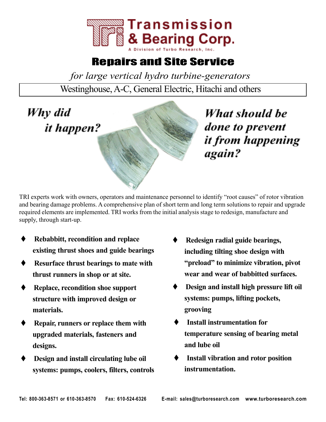

## Repairs and Site Service

*for large vertical hydro turbine-generators*

Westinghouse, A-C, General Electric, Hitachi and others



What should be done to prevent it from happening again?

TRI experts work with owners, operators and maintenance personnel to identify "root causes" of rotor vibration and bearing damage problems. A comprehensive plan of short term and long term solutions to repair and upgrade required elements are implemented. TRI works from the initial analysis stage to redesign, manufacture and supply, through start-up.

- **Rebabbitt, recondition and replace existing thrust shoes and guide bearings**
- **Resurface thrust bearings to mate with thrust runners in shop or at site.**
- **Replace, recondition shoe support structure with improved design or materials.**
- **Repair, runners or replace them with upgraded materials, fasteners and designs.**
- **Design and install circulating lube oil systems: pumps, coolers, filters, controls**
- **Redesign radial guide bearings, including tilting shoe design with "preload" to minimize vibration, pivot wear and wear of babbitted surfaces.**
- **Design and install high pressure lift oil systems: pumps, lifting pockets, grooving**
- **Install instrumentation for temperature sensing of bearing metal and lube oil**
- **Install vibration and rotor position instrumentation.**